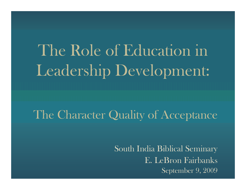# The Role of Education in Leadership Development:

#### The Character Quality of Acceptance

South India Biblical Seminary E. LeBron Fairbanks September 9, 2009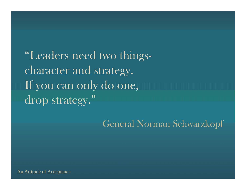"Leaders need two thingscharacter and strategy. If you can only do one, drop strategy."

General Norman Schwarzkopf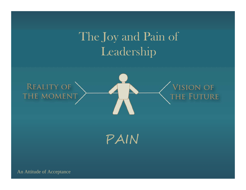#### The Joy and Pain of Leadership



PAIN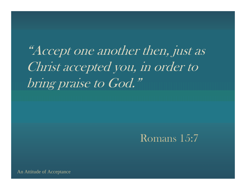"Accept one another then, just as Christ accepted you, in order to bring praise to God."

#### Romans 15:7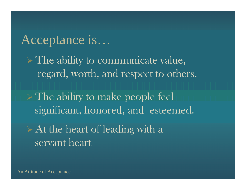Acceptance is…

 $\triangleright$  The ability to communicate value, regard, worth, and respect to others.

 $\triangleright$  The ability to make people feel significant, honored, and esteemed.

 $\triangleright$  At the heart of leading with a servant heart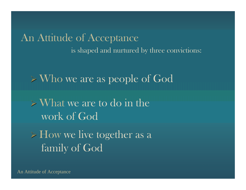An Attitude of Acceptance is shaped and nurtured by three convictions:

Who we are as people of God

 $\triangleright$  What we are to do in the work of God

 $\triangleright$  How we live together as a family of God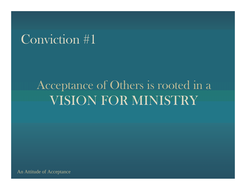#### Conviction #1

## Acceptance of Others is rooted in a VISION FOR MINISTRY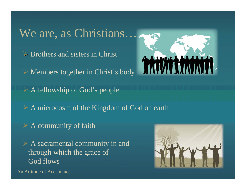#### We are, as Christians…

- **EXECUTE:**  $\triangleright$  Brothers and sisters in Christ
- Members together in Christ's body



- A fellowship of God's people
- A microcosm of the Kingdom of God on earth
- A community of faith
- A sacramental community in and through which the grace of God flows

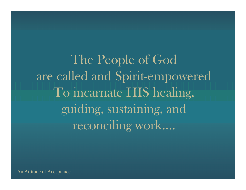The People of God are called and Spirit-empowered To incarnate HIS healing, guiding, sustaining, and reconciling work….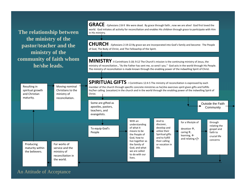**The relationship between the ministry of the pastor/teacher and the ministry of the community of faith whom he/she leads.**

**GRACE ‐** Ephesians 2:8‐9 We were dead. By grace through faith…now we are alive! God first loved the world. God initiates all activity for reconciliation and enables His children through grace to participate with Him in His ministry.

**CHURCH ‐** Ephesians 2:19‐22 By grace we are incorporated into God's family and become: The People of God, The Body of Christ, and The Fellowship of the Spirit.

**MINISTRY**‐ II Corinthians 5:18; 9:12 The Church's mission is the continuing ministry of Jesus, the ministry of reconciliation…"As the Father has sent me, so send I you." God acts in the world through His People. The ministry of reconciliation is made known through the enabling power of the indwelling Spirit of Christ.

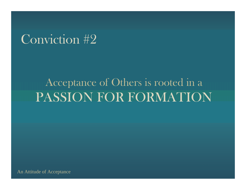#### Conviction #2

## Acceptance of Others is rooted in a PASSION FOR FORMATION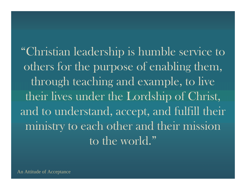"Christian leadership is humble service to others for the purpose of enabling them, through teaching and example, to live their lives under the Lordship of Christ, and to understand, accept, and fulfill their ministry to each other and their mission to the world."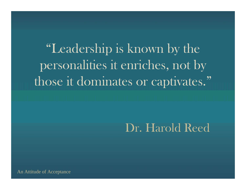"Leadership is known by the personalities it enriches, not by those it dominates or captivates."

#### Dr. Harold Reed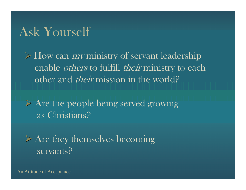## Ask Yourself

 $\triangleright$  How can *my* ministry of servant leadership enable *others* to fulfill *their* ministry to each other and their mission in the world?

 Are the people being served growing as Christians?

 Are they themselves becoming servants?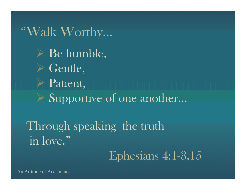"Walk Worthy…

 Be humble, **≻ Gentle, Patient**, Supportive of one another… Through speaking the truth in love."

Ephesians 4:1-3,15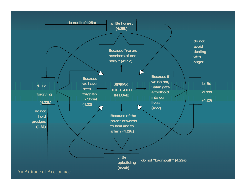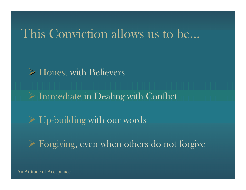#### This Conviction allows us to be…

Honest with Believers

 $\triangleright$  Immediate in Dealing with Conflict

Up-building with our words

Forgiving, even when others do not forgive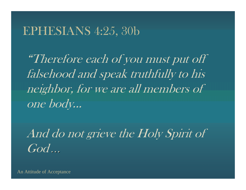#### EPHESIANS 4:25, 30b

"Therefore each of you must put off falsehood and speak truthfully to his neighbor, for we are all members of one body...

And do not grieve the Holy Spirit of God *…*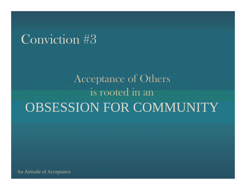#### Conviction #3

## Acceptance of Others is rooted in an OBSESSION FOR COMMUNITY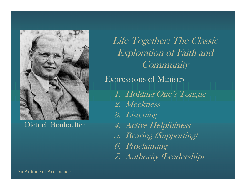

Dietrich Bonhoeffer

Life Together: The Classic Exploration of Faith and **Community** 1. Holding One's Tongue 2. Meekness3. Listening 4. Active Helpfulness 5. Bearing (Supporting) 6. Proclaiming 7. Authority (Leadership) Expressions of Ministry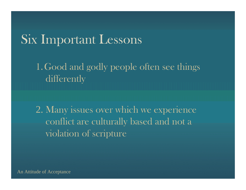#### Six Important Lessons

1.Good and godly people often see things differently

2. Many issues over which we experience conflict are culturally based and not a violation of scripture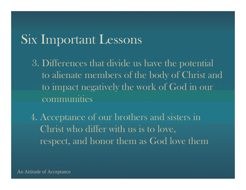#### Six Important Lessons

3. Differences that divide us have the potential to alienate members of the body of Christ and to impact negatively the work of God in our communities

4. Acceptance of our brothers and sisters in Christ who differ with us is to love, respect, and honor them as God love them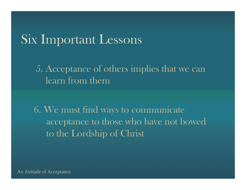#### Six Important Lessons

5. Acceptance of others implies that we can learn from them

6. We must find ways to communicate acceptance to those who have not bowed to the Lordship of Christ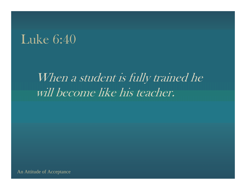## Luke 6:40

#### When a student is fully trained he will become like his teacher.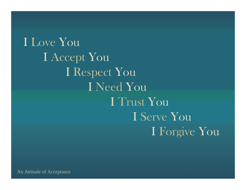I Love YouI Accept You I Respect You I Need You I Trust YouI Serve You I Forgive You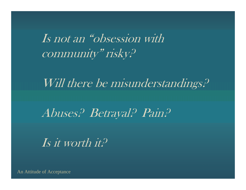Is not an "obsession with community" risky?

Will there be misunderstandings.<sup>2</sup>

Abuses? Betrayal? Pain?

 $Is$  it worth it?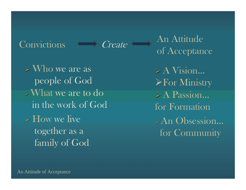$\triangleright$  Who we are as people of God What we are to doin the work of God $\triangleright$  How we live together as a family of God

 $\triangleright$  A Vision... **For Ministry**  A Passion… for Formation An Obsession… for Community Convictions  $\longrightarrow$  Create  $\longrightarrow$  An Attitude<br>of Acceptance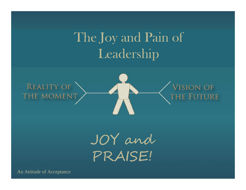## The Joy and Pain of Leadership



JOY and PRAISE!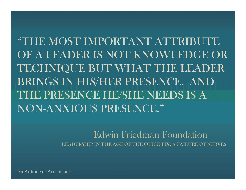"THE MOST IMPORTANT ATTRIBUTE OF A LEADER IS NOT KNOWLEDGE OR TECHNIQUE BUT WHAT THE LEADER BRINGS IN HIS/HER PRESENCE. AND THE PRESENCE HE/SHE NEEDS IS A NON-ANXIOUS PRESENCE."

> Edwin Friedman FoundationLEADERSHIP IN THE AGE OF THE QUICK FIX: A FAILURE OF NERVES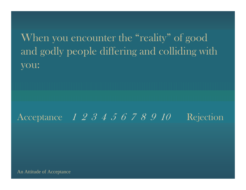When you encounter the "reality" of good and godly people differing and colliding with you:

#### Acceptance 1 2 3 4 5 6 7 8 9 10 Rejection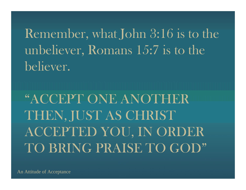Remember, what John 3:16 is to the unbeliever, Romans 15:7 is to the believer.

"ACCEPT ONE ANOTHER THEN, JUST AS CHRIST ACCEPTED YOU, IN ORDER TO BRING PRAISE TO GOD"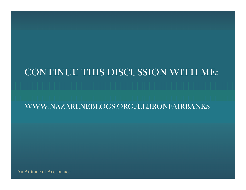#### CONTINUE THIS DISCUSSION WITH ME:

#### WWW.NAZARENEBLOGS.ORG./LEBRONFAIRBANKS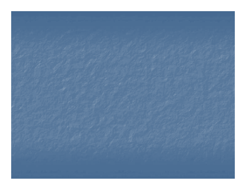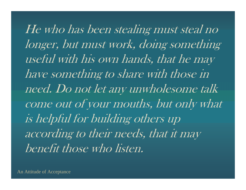He who has been stealing must steal no longer, but must work, doing something useful with his own hands, that he may have something to share with those in need. Do not let any unwholesome talk come out of your mouths, but only what is helpful for building others up according to their needs, that it may benefit those who listen.